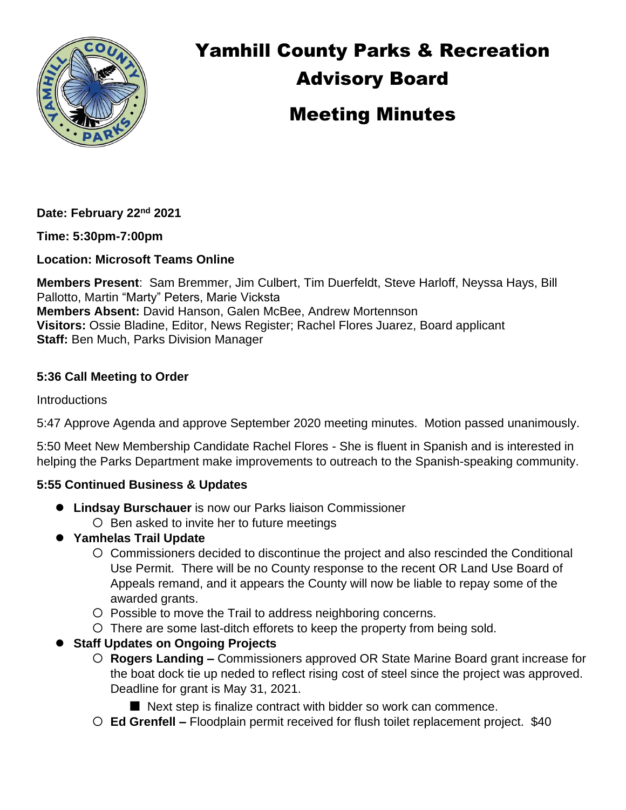

# Yamhill County Parks & Recreation Advisory Board Meeting Minutes

**Date: February 22nd 2021**

**Time: 5:30pm-7:00pm**

**Location: Microsoft Teams Online**

**Members Present**: Sam Bremmer, Jim Culbert, Tim Duerfeldt, Steve Harloff, Neyssa Hays, Bill Pallotto, Martin "Marty" Peters, Marie Vicksta **Members Absent:** David Hanson, Galen McBee, Andrew Mortennson **Visitors:** Ossie Bladine, Editor, News Register; Rachel Flores Juarez, Board applicant **Staff:** Ben Much, Parks Division Manager

# **5:36 Call Meeting to Order**

**Introductions** 

5:47 Approve Agenda and approve September 2020 meeting minutes. Motion passed unanimously.

5:50 Meet New Membership Candidate Rachel Flores - She is fluent in Spanish and is interested in helping the Parks Department make improvements to outreach to the Spanish-speaking community.

# **5:55 Continued Business & Updates**

- ⚫ **Lindsay Burschauer** is now our Parks liaison Commissioner  $O$  Ben asked to invite her to future meetings
- ⚫ **Yamhelas Trail Update**
	- Commissioners decided to discontinue the project and also rescinded the Conditional Use Permit. There will be no County response to the recent OR Land Use Board of Appeals remand, and it appears the County will now be liable to repay some of the awarded grants.
	- O Possible to move the Trail to address neighboring concerns.
	- There are some last-ditch efforets to keep the property from being sold.
- ⚫ **Staff Updates on Ongoing Projects**
	- **Rogers Landing –** Commissioners approved OR State Marine Board grant increase for the boat dock tie up neded to reflect rising cost of steel since the project was approved. Deadline for grant is May 31, 2021.
		- Next step is finalize contract with bidder so work can commence.
	- **Ed Grenfell –** Floodplain permit received for flush toilet replacement project. \$40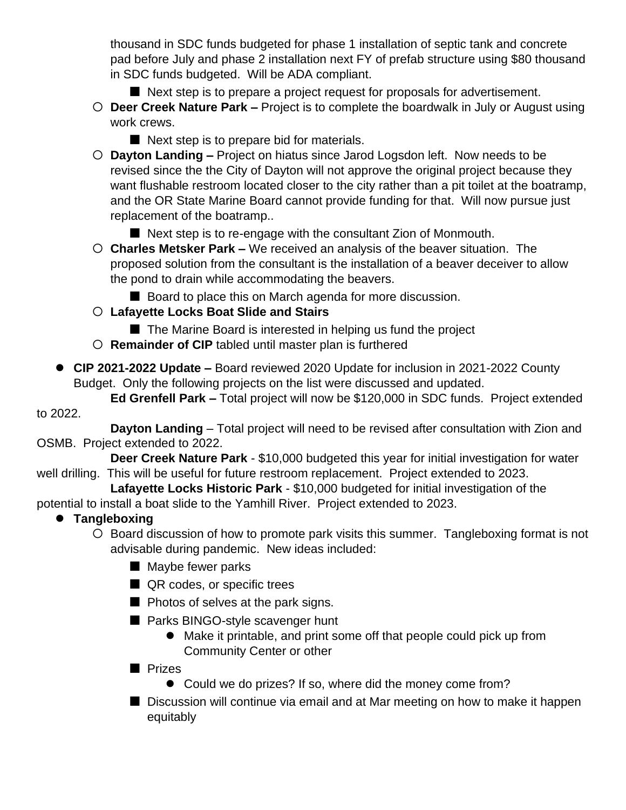thousand in SDC funds budgeted for phase 1 installation of septic tank and concrete pad before July and phase 2 installation next FY of prefab structure using \$80 thousand in SDC funds budgeted. Will be ADA compliant.

- Next step is to prepare a project request for proposals for advertisement.
- **Deer Creek Nature Park –** Project is to complete the boardwalk in July or August using work crews.
	- Next step is to prepare bid for materials.
- **Dayton Landing –** Project on hiatus since Jarod Logsdon left. Now needs to be revised since the the City of Dayton will not approve the original project because they want flushable restroom located closer to the city rather than a pit toilet at the boatramp, and the OR State Marine Board cannot provide funding for that. Will now pursue just replacement of the boatramp..
	- Next step is to re-engage with the consultant Zion of Monmouth.
- **Charles Metsker Park –** We received an analysis of the beaver situation. The proposed solution from the consultant is the installation of a beaver deceiver to allow the pond to drain while accommodating the beavers.
	- Board to place this on March agenda for more discussion.
- **Lafayette Locks Boat Slide and Stairs**
	- The Marine Board is interested in helping us fund the project
- **Remainder of CIP** tabled until master plan is furthered
- ⚫ **CIP 2021-2022 Update –** Board reviewed 2020 Update for inclusion in 2021-2022 County Budget. Only the following projects on the list were discussed and updated.

**Ed Grenfell Park –** Total project will now be \$120,000 in SDC funds. Project extended to 2022.

**Dayton Landing** – Total project will need to be revised after consultation with Zion and OSMB. Project extended to 2022.

**Deer Creek Nature Park** - \$10,000 budgeted this year for initial investigation for water well drilling. This will be useful for future restroom replacement. Project extended to 2023.

**Lafayette Locks Historic Park** - \$10,000 budgeted for initial investigation of the

potential to install a boat slide to the Yamhill River. Project extended to 2023.

# ⚫ **Tangleboxing**

O Board discussion of how to promote park visits this summer. Tangleboxing format is not advisable during pandemic. New ideas included:

- Maybe fewer parks
- QR codes, or specific trees
- Photos of selves at the park signs.
- Parks BINGO-style scavenger hunt
	- Make it printable, and print some off that people could pick up from Community Center or other
- Prizes
	- Could we do prizes? If so, where did the money come from?
- Discussion will continue via email and at Mar meeting on how to make it happen equitably